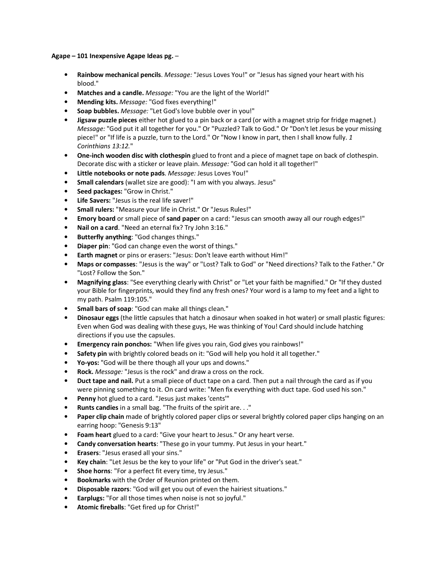Agape – 101 Inexpensive Agape Ideas pg. –

- Rainbow mechanical pencils. Message: "Jesus Loves You!" or "Jesus has signed your heart with his blood."
- Matches and a candle. Message: "You are the light of the World!"
- Mending kits. Message: "God fixes everything!"
- Soap bubbles. Message: "Let God's love bubble over in you!"
- **Jigsaw puzzle pieces** either hot glued to a pin back or a card (or with a magnet strip for fridge magnet.) Message: "God put it all together for you." Or "Puzzled? Talk to God." Or "Don't let Jesus be your missing piece!" or "If life is a puzzle, turn to the Lord." Or "Now I know in part, then I shall know fully. 1 Corinthians 13:12."
- One-inch wooden disc with clothespin glued to front and a piece of magnet tape on back of clothespin. Decorate disc with a sticker or leave plain. Message: "God can hold it all together!"
- Little notebooks or note pads. Message: Jesus Loves You!"
- Small calendars (wallet size are good): "I am with you always. Jesus"
- Seed packages: "Grow in Christ."
- Life Savers: "Jesus is the real life saver!"
- Small rulers: "Measure your life in Christ." Or "Jesus Rules!"
- Emory board or small piece of sand paper on a card: "Jesus can smooth away all our rough edges!"
- Nail on a card. "Need an eternal fix? Try John 3:16."
- Butterfly anything: "God changes things."
- Diaper pin: "God can change even the worst of things."
- Earth magnet or pins or erasers: "Jesus: Don't leave earth without Him!"
- Maps or compasses: "Jesus is the way" or "Lost? Talk to God" or "Need directions? Talk to the Father." Or "Lost? Follow the Son."
- Magnifying glass: "See everything clearly with Christ" or "Let your faith be magnified." Or "If they dusted your Bible for fingerprints, would they find any fresh ones? Your word is a lamp to my feet and a light to my path. Psalm 119:105."
- Small bars of soap: "God can make all things clean."
- Dinosaur eggs (the little capsules that hatch a dinosaur when soaked in hot water) or small plastic figures: Even when God was dealing with these guys, He was thinking of You! Card should include hatching directions if you use the capsules.
- Emergency rain ponchos: "When life gives you rain, God gives you rainbows!"
- Safety pin with brightly colored beads on it: "God will help you hold it all together."
- Yo-yos: "God will be there though all your ups and downs."
- Rock. Message: "Jesus is the rock" and draw a cross on the rock.
- Duct tape and nail. Put a small piece of duct tape on a card. Then put a nail through the card as if you were pinning something to it. On card write: "Men fix everything with duct tape. God used his son."
- Penny hot glued to a card. "Jesus just makes 'cents'"
- Runts candies in a small bag. "The fruits of the spirit are. . ."
- Paper clip chain made of brightly colored paper clips or several brightly colored paper clips hanging on an earring hoop: "Genesis 9:13"
- Foam heart glued to a card: "Give your heart to Jesus." Or any heart verse.
- Candy conversation hearts: "These go in your tummy. Put Jesus in your heart."
- Erasers: "Jesus erased all your sins."
- Key chain: "Let Jesus be the key to your life" or "Put God in the driver's seat."
- Shoe horns: "For a perfect fit every time, try Jesus."
- Bookmarks with the Order of Reunion printed on them.
- Disposable razors: "God will get you out of even the hairiest situations."
- Earplugs: "For all those times when noise is not so joyful."
- Atomic fireballs: "Get fired up for Christ!"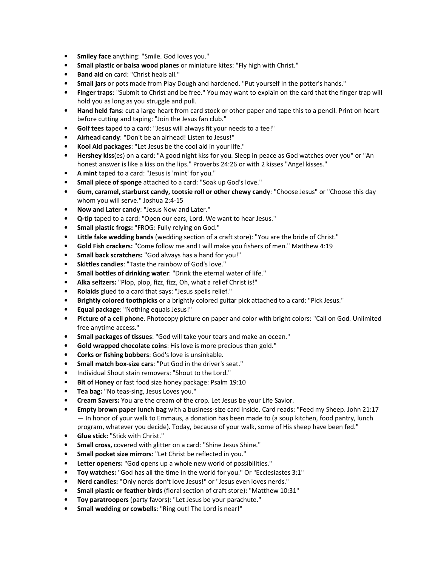- Smiley face anything: "Smile. God loves you."
- Small plastic or balsa wood planes or miniature kites: "Fly high with Christ."
- Band aid on card: "Christ heals all."
- Small jars or pots made from Play Dough and hardened. "Put yourself in the potter's hands."
- Finger traps: "Submit to Christ and be free." You may want to explain on the card that the finger trap will hold you as long as you struggle and pull.
- Hand held fans: cut a large heart from card stock or other paper and tape this to a pencil. Print on heart before cutting and taping: "Join the Jesus fan club."
- Golf tees taped to a card: "Jesus will always fit your needs to a tee!"
- Airhead candy: "Don't be an airhead! Listen to Jesus!"
- Kool Aid packages: "Let Jesus be the cool aid in your life."
- Hershey kiss(es) on a card: "A good night kiss for you. Sleep in peace as God watches over you" or "An honest answer is like a kiss on the lips." Proverbs 24:26 or with 2 kisses "Angel kisses."
- A mint taped to a card: "Jesus is 'mint' for you."
- Small piece of sponge attached to a card: "Soak up God's love."
- Gum, caramel, starburst candy, tootsie roll or other chewy candy: "Choose Jesus" or "Choose this day whom you will serve." Joshua 2:4-15
- Now and Later candy: "Jesus Now and Later."
- Q-tip taped to a card: "Open our ears, Lord. We want to hear Jesus."
- Small plastic frogs: "FROG: Fully relying on God."
- Little fake wedding bands (wedding section of a craft store): "You are the bride of Christ."
- Gold Fish crackers: "Come follow me and I will make you fishers of men." Matthew 4:19
- Small back scratchers: "God always has a hand for you!"
- Skittles candies: "Taste the rainbow of God's love."
- Small bottles of drinking water: "Drink the eternal water of life."
- Alka seltzers: "Plop, plop, fizz, fizz, Oh, what a relief Christ is!"
- Rolaids glued to a card that says: "Jesus spells relief."
- Brightly colored toothpicks or a brightly colored guitar pick attached to a card: "Pick Jesus."
- Equal package: "Nothing equals Jesus!"
- Picture of a cell phone. Photocopy picture on paper and color with bright colors: "Call on God. Unlimited free anytime access."
- Small packages of tissues: "God will take your tears and make an ocean."
- Gold wrapped chocolate coins: His love is more precious than gold."
- Corks or fishing bobbers: God's love is unsinkable.
- Small match box-size cars: "Put God in the driver's seat."
- Individual Shout stain removers: "Shout to the Lord."
- Bit of Honey or fast food size honey package: Psalm 19:10
- Tea bag: "No teas-sing, Jesus Loves you."
- Cream Savers: You are the cream of the crop. Let Jesus be your Life Savior.
- Empty brown paper lunch bag with a business-size card inside. Card reads: "Feed my Sheep. John 21:17 — In honor of your walk to Emmaus, a donation has been made to (a soup kitchen, food pantry, lunch program, whatever you decide). Today, because of your walk, some of His sheep have been fed."
- Glue stick: "Stick with Christ."
- Small cross, covered with glitter on a card: "Shine Jesus Shine."
- Small pocket size mirrors: "Let Christ be reflected in you."
- Letter openers: "God opens up a whole new world of possibilities."
- Toy watches: "God has all the time in the world for you." Or "Ecclesiastes 3:1"
- Nerd candies: "Only nerds don't love Jesus!" or "Jesus even loves nerds."
- Small plastic or feather birds (floral section of craft store): "Matthew 10:31"
- Toy paratroopers (party favors): "Let Jesus be your parachute."
- Small wedding or cowbells: "Ring out! The Lord is near!"